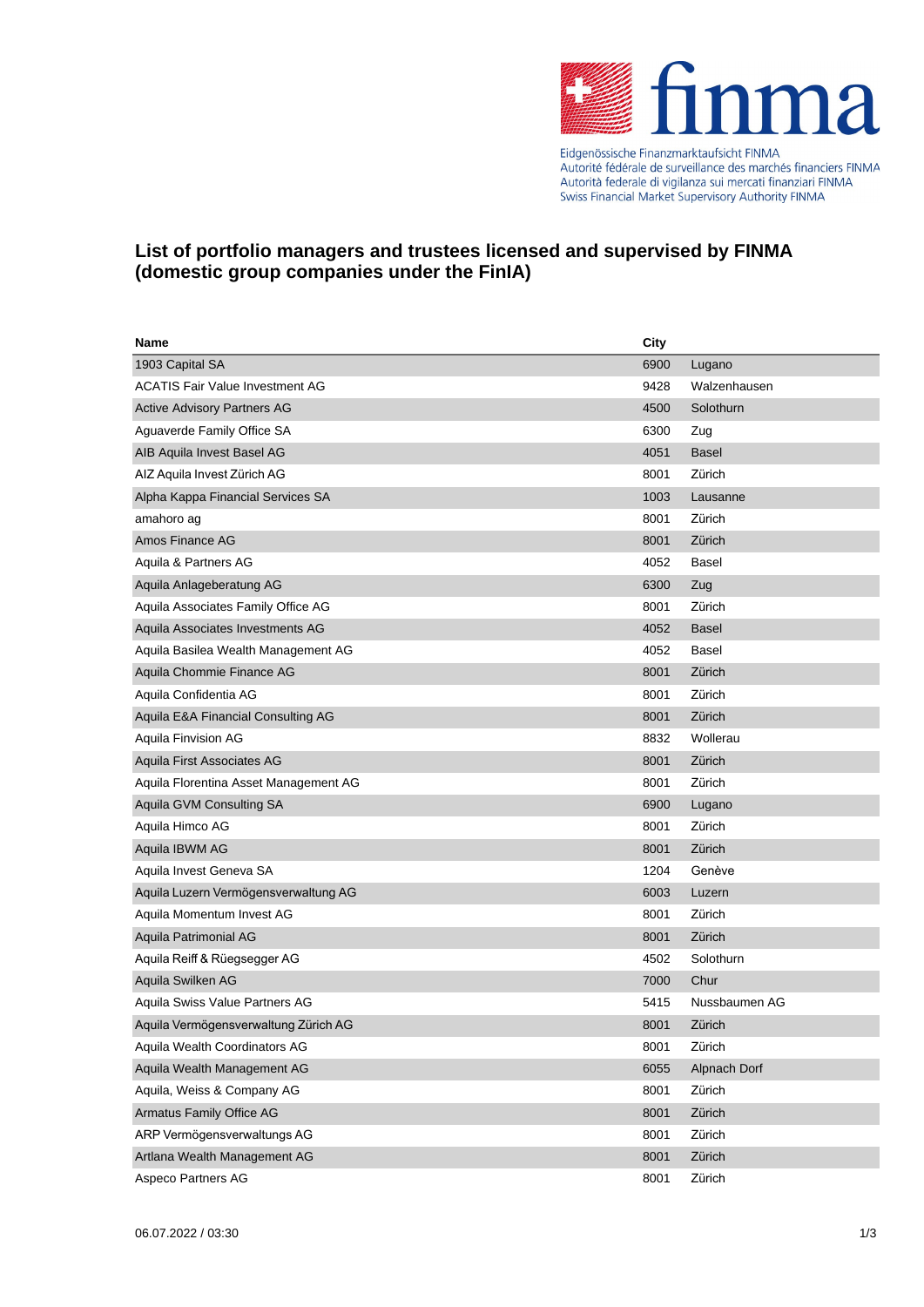

Eidgenössische Finanzmarktaufsicht FINMA Autorité fédérale de surveillance des marchés financiers FINMA<br>Autorité fédérale de surveillance des marchés financiers FINMA Swiss Financial Market Supervisory Authority FINMA

## **List of portfolio managers and trustees licensed and supervised by FINMA (domestic group companies under the FinIA)**

| Name                                   | <b>City</b> |               |
|----------------------------------------|-------------|---------------|
| 1903 Capital SA                        | 6900        | Lugano        |
| <b>ACATIS Fair Value Investment AG</b> | 9428        | Walzenhausen  |
| <b>Active Advisory Partners AG</b>     | 4500        | Solothurn     |
| Aguaverde Family Office SA             | 6300        | Zug           |
| AIB Aquila Invest Basel AG             | 4051        | <b>Basel</b>  |
| AIZ Aquila Invest Zürich AG            | 8001        | Zürich        |
| Alpha Kappa Financial Services SA      | 1003        | Lausanne      |
| amahoro ag                             | 8001        | Zürich        |
| Amos Finance AG                        | 8001        | Zürich        |
| Aquila & Partners AG                   | 4052        | Basel         |
| Aquila Anlageberatung AG               | 6300        | Zug           |
| Aquila Associates Family Office AG     | 8001        | Zürich        |
| Aquila Associates Investments AG       | 4052        | <b>Basel</b>  |
| Aquila Basilea Wealth Management AG    | 4052        | <b>Basel</b>  |
| Aquila Chommie Finance AG              | 8001        | Zürich        |
| Aquila Confidentia AG                  | 8001        | Zürich        |
| Aquila E&A Financial Consulting AG     | 8001        | Zürich        |
| Aquila Finvision AG                    | 8832        | Wollerau      |
| Aquila First Associates AG             | 8001        | Zürich        |
| Aquila Florentina Asset Management AG  | 8001        | Zürich        |
| Aquila GVM Consulting SA               | 6900        | Lugano        |
| Aquila Himco AG                        | 8001        | Zürich        |
| Aquila IBWM AG                         | 8001        | Zürich        |
| Aquila Invest Geneva SA                | 1204        | Genève        |
| Aquila Luzern Vermögensverwaltung AG   | 6003        | Luzern        |
| Aquila Momentum Invest AG              | 8001        | Zürich        |
| Aquila Patrimonial AG                  | 8001        | Zürich        |
| Aquila Reiff & Rüegsegger AG           | 4502        | Solothurn     |
| Aquila Swilken AG                      | 7000        | Chur          |
| Aquila Swiss Value Partners AG         | 5415        | Nussbaumen AG |
| Aquila Vermögensverwaltung Zürich AG   | 8001        | Zürich        |
| Aquila Wealth Coordinators AG          | 8001        | Zürich        |
| Aquila Wealth Management AG            | 6055        | Alpnach Dorf  |
| Aquila, Weiss & Company AG             | 8001        | Zürich        |
| <b>Armatus Family Office AG</b>        | 8001        | Zürich        |
| ARP Vermögensverwaltungs AG            | 8001        | Zürich        |
| Artlana Wealth Management AG           | 8001        | Zürich        |
| Aspeco Partners AG                     | 8001        | Zürich        |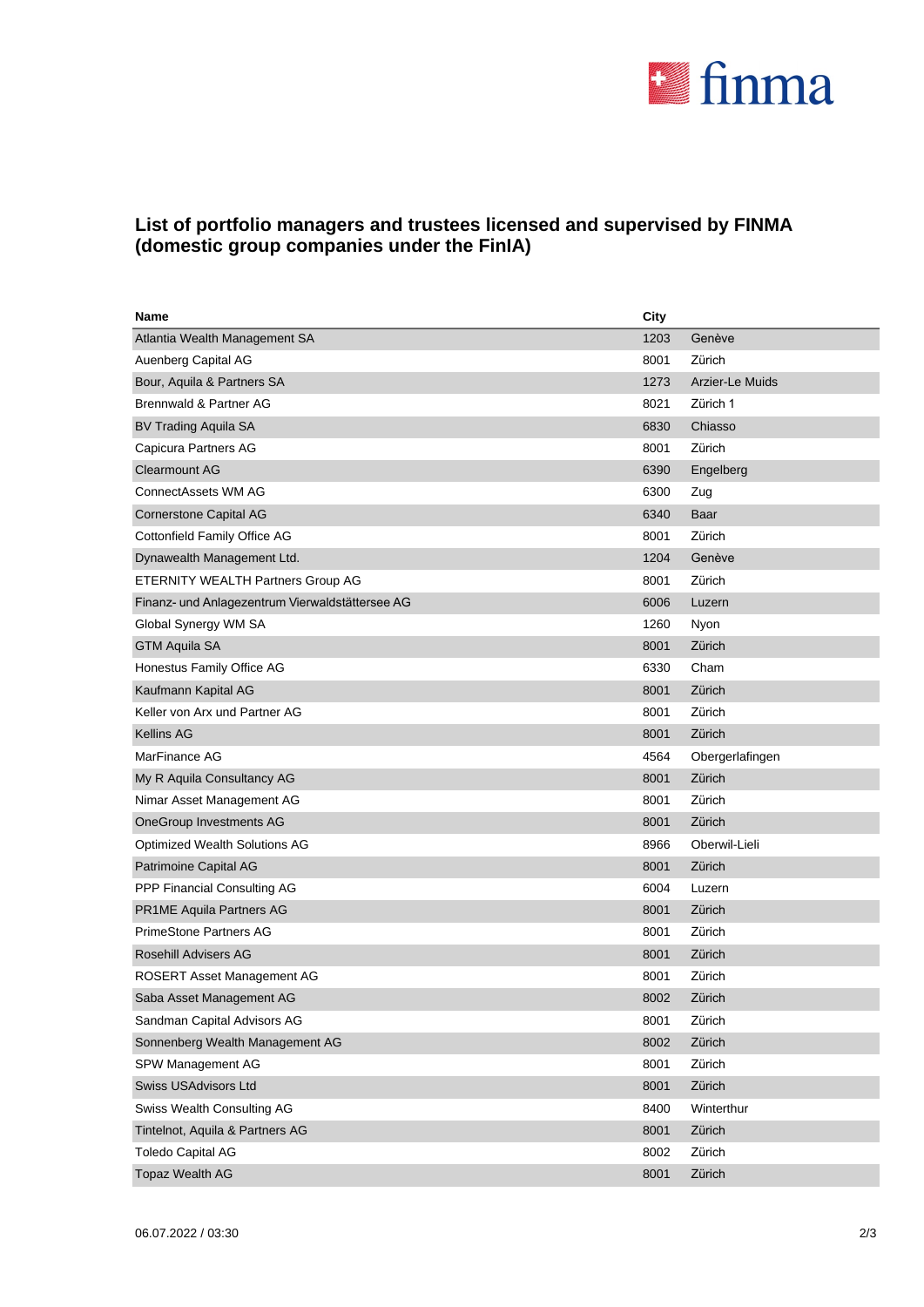

## **List of portfolio managers and trustees licensed and supervised by FINMA (domestic group companies under the FinIA)**

| Name                                            | City |                 |
|-------------------------------------------------|------|-----------------|
| Atlantia Wealth Management SA                   | 1203 | Genève          |
| Auenberg Capital AG                             | 8001 | Zürich          |
| Bour, Aquila & Partners SA                      | 1273 | Arzier-Le Muids |
| <b>Brennwald &amp; Partner AG</b>               | 8021 | Zürich 1        |
| <b>BV Trading Aquila SA</b>                     | 6830 | Chiasso         |
| Capicura Partners AG                            | 8001 | Zürich          |
| <b>Clearmount AG</b>                            | 6390 | Engelberg       |
| ConnectAssets WM AG                             | 6300 | Zug             |
| <b>Cornerstone Capital AG</b>                   | 6340 | Baar            |
| Cottonfield Family Office AG                    | 8001 | Zürich          |
| Dynawealth Management Ltd.                      | 1204 | Genève          |
| <b>ETERNITY WEALTH Partners Group AG</b>        | 8001 | Zürich          |
| Finanz- und Anlagezentrum Vierwaldstättersee AG | 6006 | Luzern          |
| Global Synergy WM SA                            | 1260 | Nyon            |
| <b>GTM Aquila SA</b>                            | 8001 | Zürich          |
| Honestus Family Office AG                       | 6330 | Cham            |
| Kaufmann Kapital AG                             | 8001 | Zürich          |
| Keller von Arx und Partner AG                   | 8001 | Zürich          |
| <b>Kellins AG</b>                               | 8001 | Zürich          |
| MarFinance AG                                   | 4564 | Obergerlafingen |
| My R Aquila Consultancy AG                      | 8001 | Zürich          |
| Nimar Asset Management AG                       | 8001 | Zürich          |
| OneGroup Investments AG                         | 8001 | Zürich          |
| Optimized Wealth Solutions AG                   | 8966 | Oberwil-Lieli   |
| Patrimoine Capital AG                           | 8001 | Zürich          |
| PPP Financial Consulting AG                     | 6004 | Luzern          |
| <b>PR1ME Aquila Partners AG</b>                 | 8001 | Zürich          |
| <b>PrimeStone Partners AG</b>                   | 8001 | Zürich          |
| <b>Rosehill Advisers AG</b>                     | 8001 | Zürich          |
| <b>ROSERT Asset Management AG</b>               | 8001 | Zürich          |
| Saba Asset Management AG                        | 8002 | Zürich          |
| Sandman Capital Advisors AG                     | 8001 | Zürich          |
| Sonnenberg Wealth Management AG                 | 8002 | Zürich          |
| SPW Management AG                               | 8001 | Zürich          |
| Swiss USAdvisors Ltd                            | 8001 | Zürich          |
| Swiss Wealth Consulting AG                      | 8400 | Winterthur      |
| Tintelnot, Aquila & Partners AG                 | 8001 | Zürich          |
| <b>Toledo Capital AG</b>                        | 8002 | Zürich          |
| <b>Topaz Wealth AG</b>                          | 8001 | Zürich          |